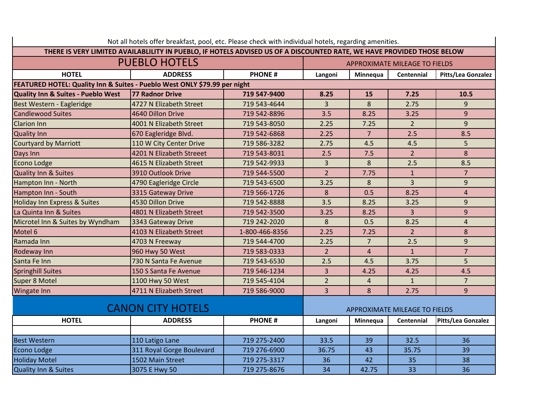| Not all hotels offer breakfast, pool, etc. Please check with individual hotels, regarding amenities.                   |                           |                |                                      |                |                |                           |  |  |
|------------------------------------------------------------------------------------------------------------------------|---------------------------|----------------|--------------------------------------|----------------|----------------|---------------------------|--|--|
| THERE IS VERY LIMITED AVAILABLILITY IN PUEBLO, IF HOTELS ADVISED US OF A DISCOUNTED RATE, WE HAVE PROVIDED THOSE BELOW |                           |                |                                      |                |                |                           |  |  |
| <b>PUEBLO HOTELS</b>                                                                                                   |                           |                | <b>APPROXIMATE MILEAGE TO FIELDS</b> |                |                |                           |  |  |
| <b>HOTEL</b>                                                                                                           | <b>ADDRESS</b>            | <b>PHONE#</b>  | Langoni                              | Minnequa       | Centennial     | Pitts/Lea Gonzalez        |  |  |
| FEATURED HOTEL: Quality Inn & Suites - Pueblo West ONLY \$79.99 per night                                              |                           |                |                                      |                |                |                           |  |  |
| Quality Inn & Suites - Pueblo West                                                                                     | 77 Radnor Drive           | 719 547-9400   | 8.25                                 | 15             | 7.25           | 10.5                      |  |  |
| Best Western - Eagleridge                                                                                              | 4727 N Elizabeth Street   | 719 543-4644   | $\overline{3}$                       | 8              | 2.75           | 9                         |  |  |
| <b>Candlewood Suites</b>                                                                                               | 4640 Dillon Drive         | 719 542-8896   | 3.5                                  | 8.25           | 3.25           | 9                         |  |  |
| <b>Clarion Inn</b>                                                                                                     | 4001 N Elizabeth Street   | 719 543-8050   | 2.25                                 | 7.25           | $\overline{2}$ | 9                         |  |  |
| <b>Quality Inn</b>                                                                                                     | 670 Eagleridge Blvd.      | 719 542-6868   | 2.25                                 | 7 <sup>1</sup> | 2.5            | 8.5                       |  |  |
| Courtyard by Marriott                                                                                                  | 110 W City Center Drive   | 719 586-3282   | 2.75                                 | 4.5            | 4.5            | 5                         |  |  |
| Days Inn                                                                                                               | 4201 N Elizabeth Streeet  | 719 543-8031   | 2.5                                  | 7.5            | $\overline{2}$ | 8                         |  |  |
| Econo Lodge                                                                                                            | 4615 N Elizabeth Street   | 719 542-9933   | 3                                    | 8              | 2.5            | 8.5                       |  |  |
| Quality Inn & Suites                                                                                                   | 3910 Outlook Drive        | 719 544-5500   | $\overline{2}$                       | 7.75           | $\mathbf{1}$   | $\overline{7}$            |  |  |
| Hampton Inn - North                                                                                                    | 4790 Eagleridge Circle    | 719 543-6500   | 3.25                                 | 8              | $\overline{3}$ | $\overline{9}$            |  |  |
| Hampton Inn - South                                                                                                    | 3315 Gateway Drive        | 719 566-1726   | 8                                    | 0.5            | 8.25           | $\overline{4}$            |  |  |
| <b>Holiday Inn Express &amp; Suites</b>                                                                                | 4530 Dillon Drive         | 719 542-8888   | 3.5                                  | 8.25           | 3.25           | 9                         |  |  |
| La Quinta Inn & Suites                                                                                                 | 4801 N Elizabeth Street   | 719 542-3500   | 3.25                                 | 8.25           | $\overline{3}$ | 9                         |  |  |
| Microtel Inn & Suites by Wyndham                                                                                       | 3343 Gateway Drive        | 719 242-2020   | 8                                    | 0.5            | 8.25           | $\overline{4}$            |  |  |
| Motel 6                                                                                                                | 4103 N Elizabeth Street   | 1-800-466-8356 | 2.25                                 | 7.25           | $\overline{2}$ | 8                         |  |  |
| Ramada Inn                                                                                                             | 4703 N Freeway            | 719 544-4700   | 2.25                                 | $\overline{7}$ | 2.5            | 9                         |  |  |
| <b>Rodeway Inn</b>                                                                                                     | 960 Hwy 50 West           | 719 583-0333   | $\overline{2}$                       | $\overline{4}$ | $\mathbf{1}$   | $\overline{7}$            |  |  |
| Santa Fe Inn                                                                                                           | 730 N Santa Fe Avenue     | 719 543-6530   | 2.5                                  | 4.5            | 3.75           | 5                         |  |  |
| Springhill Suites                                                                                                      | 150 S Santa Fe Avenue     | 719 546-1234   | $\overline{3}$                       | 4.25           | 4.25           | 4.5                       |  |  |
| Super 8 Motel                                                                                                          | 1100 Hwy 50 West          | 719 545-4104   | $\overline{2}$                       | $\overline{4}$ | $\mathbf{1}$   | $\overline{7}$            |  |  |
| <b>Wingate Inn</b>                                                                                                     | 4711 N Elizabeth Street   | 719 586-9000   | 3                                    | 8              | 2.75           | 9                         |  |  |
| <b>CANON CITY HOTELS</b>                                                                                               |                           |                | APPROXIMATE MILEAGE TO FIELDS        |                |                |                           |  |  |
| <b>HOTEL</b>                                                                                                           | <b>ADDRESS</b>            | <b>PHONE#</b>  | Langoni                              | Minnequa       | Centennial     | <b>Pitts/Lea Gonzalez</b> |  |  |
|                                                                                                                        |                           |                |                                      |                |                |                           |  |  |
| <b>Best Western</b>                                                                                                    | 110 Latigo Lane           | 719 275-2400   | 33.5                                 | 39             | 32.5           | 36                        |  |  |
| Econo Lodge                                                                                                            | 311 Royal Gorge Boulevard | 719 276-6900   | 36.75                                | 43             | 35.75          | 39                        |  |  |
| <b>Holiday Motel</b>                                                                                                   | 1502 Main Street          | 719 275-3317   | 36                                   | 42             | 35             | 38                        |  |  |
| <b>Quality Inn &amp; Suites</b>                                                                                        | 3075 E Hwy 50             | 719 275-8676   | 34                                   | 42.75          | 33             | 36                        |  |  |